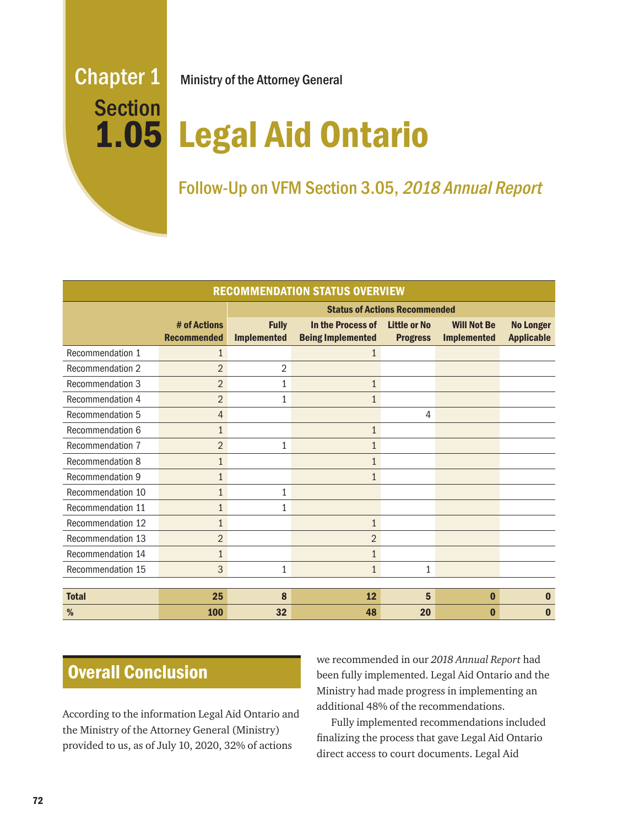# **Section**

Chapter 1 Ministry of the Attorney General

# Legal Aid Ontario 1.05

# Follow-Up on VFM Section 3.05, 2018 Annual Report

| <b>RECOMMENDATION STATUS OVERVIEW</b> |                                    |                                      |                                               |                                        |                                          |                                       |
|---------------------------------------|------------------------------------|--------------------------------------|-----------------------------------------------|----------------------------------------|------------------------------------------|---------------------------------------|
|                                       |                                    | <b>Status of Actions Recommended</b> |                                               |                                        |                                          |                                       |
|                                       | # of Actions<br><b>Recommended</b> | <b>Fully</b><br><b>Implemented</b>   | In the Process of<br><b>Being Implemented</b> | <b>Little or No</b><br><b>Progress</b> | <b>Will Not Be</b><br><b>Implemented</b> | <b>No Longer</b><br><b>Applicable</b> |
| Recommendation 1                      | $\mathbf{1}$                       |                                      | 1                                             |                                        |                                          |                                       |
| <b>Recommendation 2</b>               | $\overline{2}$                     | $\overline{2}$                       |                                               |                                        |                                          |                                       |
| Recommendation 3                      | $\overline{2}$                     | 1                                    | $\mathbf{1}$                                  |                                        |                                          |                                       |
| Recommendation 4                      | $\overline{2}$                     | 1                                    | $\mathbf{1}$                                  |                                        |                                          |                                       |
| <b>Recommendation 5</b>               | $\overline{4}$                     |                                      |                                               | 4                                      |                                          |                                       |
| Recommendation 6                      | $\mathbf{1}$                       |                                      | $\mathbf{1}$                                  |                                        |                                          |                                       |
| Recommendation 7                      | $\overline{2}$                     | $\mathbf{1}$                         |                                               |                                        |                                          |                                       |
| Recommendation 8                      | $\mathbf{1}$                       |                                      | 1                                             |                                        |                                          |                                       |
| <b>Recommendation 9</b>               | $\mathbf{1}$                       |                                      | $\mathbf{1}$                                  |                                        |                                          |                                       |
| Recommendation 10                     | $\mathbf{1}$                       | 1                                    |                                               |                                        |                                          |                                       |
| Recommendation 11                     | $\mathbf{1}$                       | 1                                    |                                               |                                        |                                          |                                       |
| Recommendation 12                     | $\mathbf{1}$                       |                                      | $\mathbf{1}$                                  |                                        |                                          |                                       |
| Recommendation 13                     | $\overline{2}$                     |                                      | $\overline{2}$                                |                                        |                                          |                                       |
| Recommendation 14                     | $\mathbf{1}$                       |                                      |                                               |                                        |                                          |                                       |
| Recommendation 15                     | 3                                  | 1                                    | $\mathbf{1}$                                  | $\mathbf{1}$                           |                                          |                                       |
|                                       |                                    |                                      |                                               |                                        |                                          |                                       |
| <b>Total</b>                          | 25                                 | 8                                    | 12                                            | 5                                      | $\bf{0}$                                 | $\bf{0}$                              |
| %                                     | <b>100</b>                         | 32                                   | 48                                            | 20                                     | $\bf{0}$                                 | $\bf{0}$                              |

# Overall Conclusion

According to the information Legal Aid Ontario and the Ministry of the Attorney General (Ministry) provided to us, as of July 10, 2020, 32% of actions

we recommended in our *2018 Annual Report* had been fully implemented. Legal Aid Ontario and the Ministry had made progress in implementing an additional 48% of the recommendations.

Fully implemented recommendations included finalizing the process that gave Legal Aid Ontario direct access to court documents. Legal Aid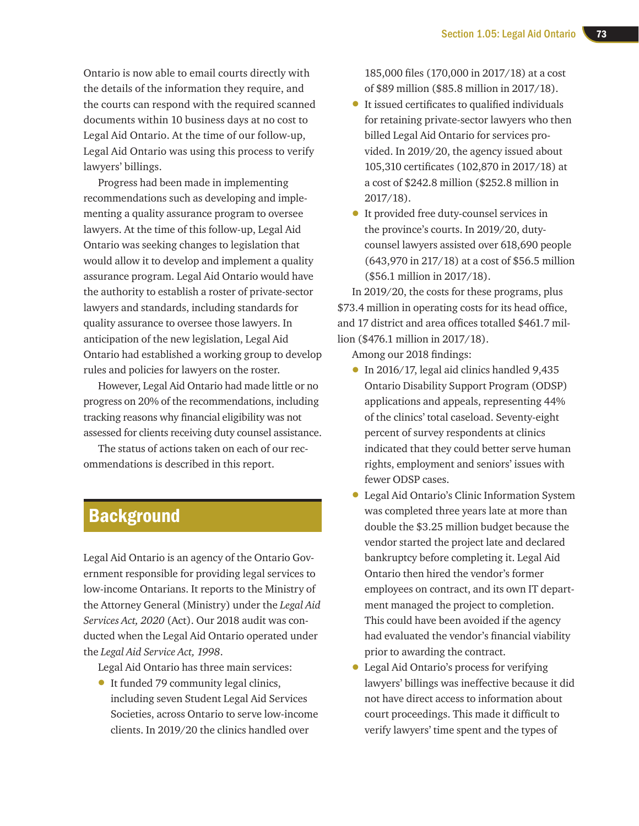Ontario is now able to email courts directly with the details of the information they require, and the courts can respond with the required scanned documents within 10 business days at no cost to Legal Aid Ontario. At the time of our follow-up, Legal Aid Ontario was using this process to verify lawyers' billings.

Progress had been made in implementing recommendations such as developing and implementing a quality assurance program to oversee lawyers. At the time of this follow-up, Legal Aid Ontario was seeking changes to legislation that would allow it to develop and implement a quality assurance program. Legal Aid Ontario would have the authority to establish a roster of private-sector lawyers and standards, including standards for quality assurance to oversee those lawyers. In anticipation of the new legislation, Legal Aid Ontario had established a working group to develop rules and policies for lawyers on the roster.

However, Legal Aid Ontario had made little or no progress on 20% of the recommendations, including tracking reasons why financial eligibility was not assessed for clients receiving duty counsel assistance.

The status of actions taken on each of our recommendations is described in this report.

# **Background**

Legal Aid Ontario is an agency of the Ontario Government responsible for providing legal services to low-income Ontarians. It reports to the Ministry of the Attorney General (Ministry) under the *Legal Aid Services Act, 2020* (Act). Our 2018 audit was conducted when the Legal Aid Ontario operated under the *Legal Aid Service Act, 1998*.

Legal Aid Ontario has three main services:

• It funded 79 community legal clinics, including seven Student Legal Aid Services Societies, across Ontario to serve low-income clients. In 2019/20 the clinics handled over

185,000 files (170,000 in 2017/18) at a cost of \$89 million (\$85.8 million in 2017/18).

- It issued certificates to qualified individuals for retaining private-sector lawyers who then billed Legal Aid Ontario for services provided. In 2019/20, the agency issued about 105,310 certificates (102,870 in 2017/18) at a cost of \$242.8 million (\$252.8 million in 2017/18).
- It provided free duty-counsel services in the province's courts. In 2019/20, dutycounsel lawyers assisted over 618,690 people (643,970 in 217/18) at a cost of \$56.5 million (\$56.1 million in 2017/18).

In 2019/20, the costs for these programs, plus \$73.4 million in operating costs for its head office, and 17 district and area offices totalled \$461.7 million (\$476.1 million in 2017/18).

Among our 2018 findings:

- In 2016/17, legal aid clinics handled 9,435 Ontario Disability Support Program (ODSP) applications and appeals, representing 44% of the clinics' total caseload. Seventy-eight percent of survey respondents at clinics indicated that they could better serve human rights, employment and seniors' issues with fewer ODSP cases.
- Legal Aid Ontario's Clinic Information System was completed three years late at more than double the \$3.25 million budget because the vendor started the project late and declared bankruptcy before completing it. Legal Aid Ontario then hired the vendor's former employees on contract, and its own IT department managed the project to completion. This could have been avoided if the agency had evaluated the vendor's financial viability prior to awarding the contract.
- Legal Aid Ontario's process for verifying lawyers' billings was ineffective because it did not have direct access to information about court proceedings. This made it difficult to verify lawyers' time spent and the types of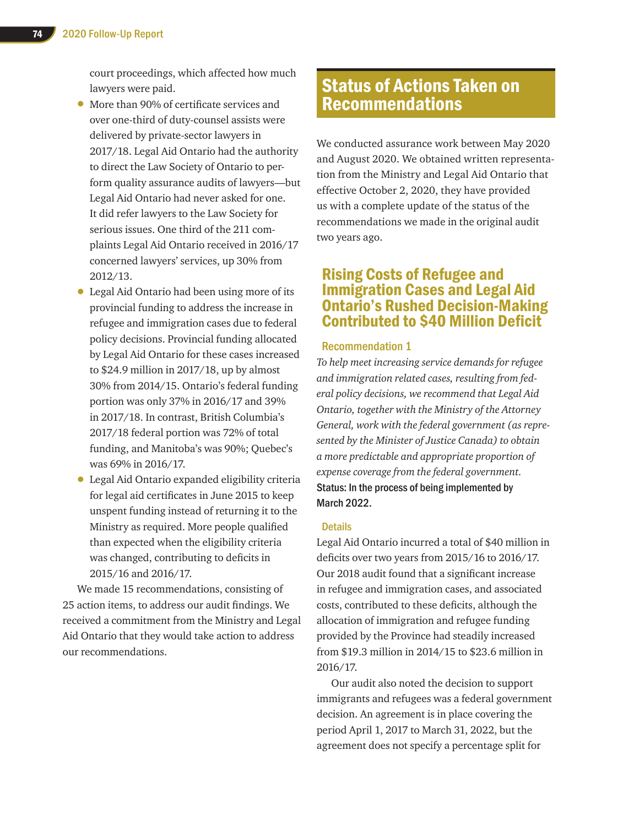court proceedings, which affected how much lawyers were paid.

- More than 90% of certificate services and over one-third of duty-counsel assists were delivered by private-sector lawyers in 2017/18. Legal Aid Ontario had the authority to direct the Law Society of Ontario to perform quality assurance audits of lawyers—but Legal Aid Ontario had never asked for one. It did refer lawyers to the Law Society for serious issues. One third of the 211 complaints Legal Aid Ontario received in 2016/17 concerned lawyers' services, up 30% from 2012/13.
- Legal Aid Ontario had been using more of its provincial funding to address the increase in refugee and immigration cases due to federal policy decisions. Provincial funding allocated by Legal Aid Ontario for these cases increased to \$24.9 million in 2017/18, up by almost 30% from 2014/15. Ontario's federal funding portion was only 37% in 2016/17 and 39% in 2017/18. In contrast, British Columbia's 2017/18 federal portion was 72% of total funding, and Manitoba's was 90%; Quebec's was 69% in 2016/17.
- Legal Aid Ontario expanded eligibility criteria for legal aid certificates in June 2015 to keep unspent funding instead of returning it to the Ministry as required. More people qualified than expected when the eligibility criteria was changed, contributing to deficits in 2015/16 and 2016/17.

We made 15 recommendations, consisting of 25 action items, to address our audit findings. We received a commitment from the Ministry and Legal Aid Ontario that they would take action to address our recommendations.

# Status of Actions Taken on Recommendations

We conducted assurance work between May 2020 and August 2020. We obtained written representation from the Ministry and Legal Aid Ontario that effective October 2, 2020, they have provided us with a complete update of the status of the recommendations we made in the original audit two years ago.

# Rising Costs of Refugee and Immigration Cases and Legal Aid Ontario's Rushed Decision-Making Contributed to \$40 Million Deficit

# Recommendation 1

*To help meet increasing service demands for refugee and immigration related cases, resulting from federal policy decisions, we recommend that Legal Aid Ontario, together with the Ministry of the Attorney General, work with the federal government (as represented by the Minister of Justice Canada) to obtain a more predictable and appropriate proportion of expense coverage from the federal government.* Status: In the process of being implemented by March 2022.

# **Details**

Legal Aid Ontario incurred a total of \$40 million in deficits over two years from 2015/16 to 2016/17. Our 2018 audit found that a significant increase in refugee and immigration cases, and associated costs, contributed to these deficits, although the allocation of immigration and refugee funding provided by the Province had steadily increased from \$19.3 million in 2014/15 to \$23.6 million in 2016/17.

Our audit also noted the decision to support immigrants and refugees was a federal government decision. An agreement is in place covering the period April 1, 2017 to March 31, 2022, but the agreement does not specify a percentage split for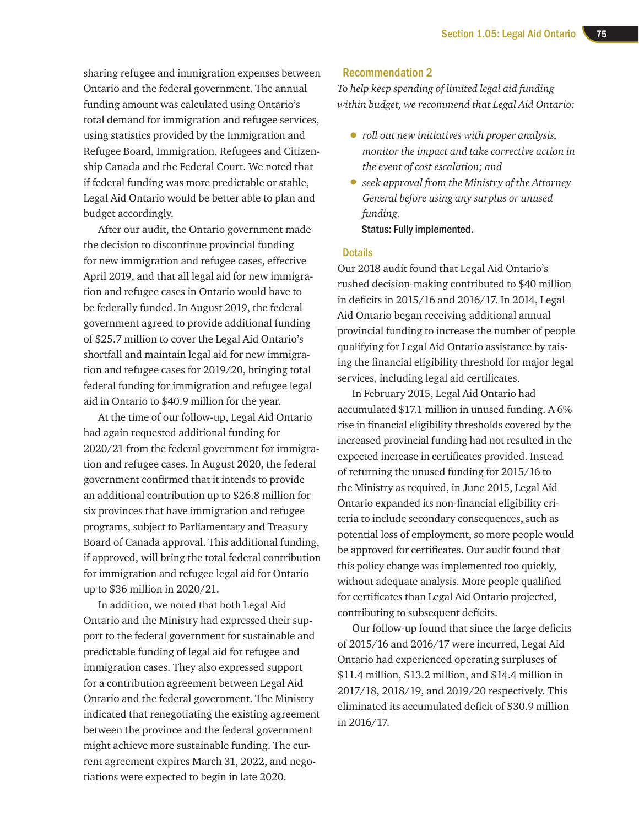sharing refugee and immigration expenses between Ontario and the federal government. The annual funding amount was calculated using Ontario's total demand for immigration and refugee services, using statistics provided by the Immigration and Refugee Board, Immigration, Refugees and Citizenship Canada and the Federal Court. We noted that if federal funding was more predictable or stable, Legal Aid Ontario would be better able to plan and budget accordingly.

After our audit, the Ontario government made the decision to discontinue provincial funding for new immigration and refugee cases, effective April 2019, and that all legal aid for new immigration and refugee cases in Ontario would have to be federally funded. In August 2019, the federal government agreed to provide additional funding of \$25.7 million to cover the Legal Aid Ontario's shortfall and maintain legal aid for new immigration and refugee cases for 2019/20, bringing total federal funding for immigration and refugee legal aid in Ontario to \$40.9 million for the year.

At the time of our follow-up, Legal Aid Ontario had again requested additional funding for 2020/21 from the federal government for immigration and refugee cases. In August 2020, the federal government confirmed that it intends to provide an additional contribution up to \$26.8 million for six provinces that have immigration and refugee programs, subject to Parliamentary and Treasury Board of Canada approval. This additional funding, if approved, will bring the total federal contribution for immigration and refugee legal aid for Ontario up to \$36 million in 2020/21.

In addition, we noted that both Legal Aid Ontario and the Ministry had expressed their support to the federal government for sustainable and predictable funding of legal aid for refugee and immigration cases. They also expressed support for a contribution agreement between Legal Aid Ontario and the federal government. The Ministry indicated that renegotiating the existing agreement between the province and the federal government might achieve more sustainable funding. The current agreement expires March 31, 2022, and negotiations were expected to begin in late 2020.

# Recommendation 2

*To help keep spending of limited legal aid funding within budget, we recommend that Legal Aid Ontario:*

- *roll out new initiatives with proper analysis, monitor the impact and take corrective action in the event of cost escalation; and*
- *seek approval from the Ministry of the Attorney General before using any surplus or unused funding.* Status: Fully implemented.

# **Details**

Our 2018 audit found that Legal Aid Ontario's rushed decision-making contributed to \$40 million in deficits in 2015/16 and 2016/17. In 2014, Legal Aid Ontario began receiving additional annual provincial funding to increase the number of people qualifying for Legal Aid Ontario assistance by raising the financial eligibility threshold for major legal services, including legal aid certificates.

In February 2015, Legal Aid Ontario had accumulated \$17.1 million in unused funding. A 6% rise in financial eligibility thresholds covered by the increased provincial funding had not resulted in the expected increase in certificates provided. Instead of returning the unused funding for 2015/16 to the Ministry as required, in June 2015, Legal Aid Ontario expanded its non-financial eligibility criteria to include secondary consequences, such as potential loss of employment, so more people would be approved for certificates. Our audit found that this policy change was implemented too quickly, without adequate analysis. More people qualified for certificates than Legal Aid Ontario projected, contributing to subsequent deficits.

Our follow-up found that since the large deficits of 2015/16 and 2016/17 were incurred, Legal Aid Ontario had experienced operating surpluses of \$11.4 million, \$13.2 million, and \$14.4 million in 2017/18, 2018/19, and 2019/20 respectively. This eliminated its accumulated deficit of \$30.9 million in 2016/17.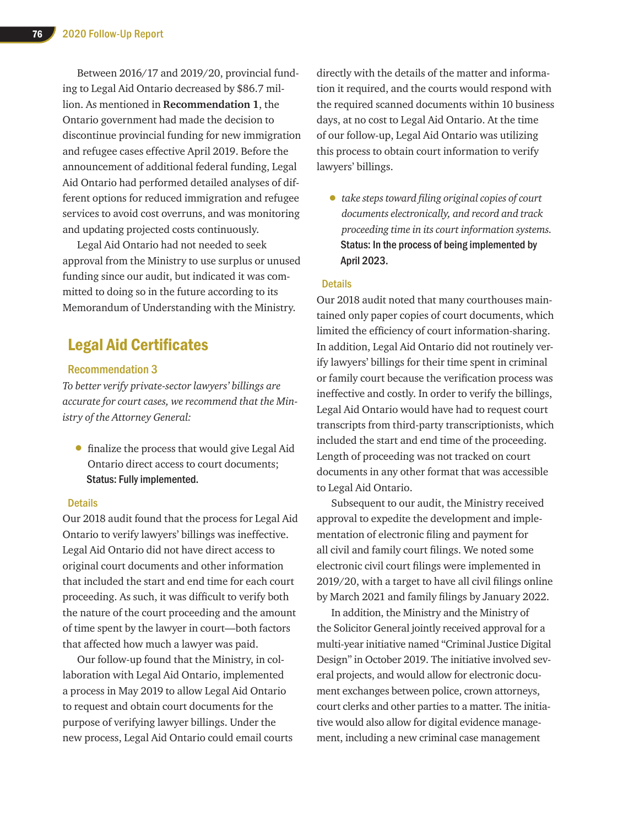Between 2016/17 and 2019/20, provincial funding to Legal Aid Ontario decreased by \$86.7 million. As mentioned in **Recommendation 1**, the Ontario government had made the decision to discontinue provincial funding for new immigration and refugee cases effective April 2019. Before the announcement of additional federal funding, Legal Aid Ontario had performed detailed analyses of different options for reduced immigration and refugee services to avoid cost overruns, and was monitoring and updating projected costs continuously.

Legal Aid Ontario had not needed to seek approval from the Ministry to use surplus or unused funding since our audit, but indicated it was committed to doing so in the future according to its Memorandum of Understanding with the Ministry.

# Legal Aid Certificates

# Recommendation 3

*To better verify private-sector lawyers' billings are accurate for court cases, we recommend that the Ministry of the Attorney General:*

• finalize the process that would give Legal Aid Ontario direct access to court documents; Status: Fully implemented.

### **Details**

Our 2018 audit found that the process for Legal Aid Ontario to verify lawyers' billings was ineffective. Legal Aid Ontario did not have direct access to original court documents and other information that included the start and end time for each court proceeding. As such, it was difficult to verify both the nature of the court proceeding and the amount of time spent by the lawyer in court—both factors that affected how much a lawyer was paid.

Our follow-up found that the Ministry, in collaboration with Legal Aid Ontario, implemented a process in May 2019 to allow Legal Aid Ontario to request and obtain court documents for the purpose of verifying lawyer billings. Under the new process, Legal Aid Ontario could email courts directly with the details of the matter and information it required, and the courts would respond with the required scanned documents within 10 business days, at no cost to Legal Aid Ontario. At the time of our follow-up, Legal Aid Ontario was utilizing this process to obtain court information to verify lawyers' billings.

• *take steps toward filing original copies of court documents electronically, and record and track proceeding time in its court information systems.* Status: In the process of being implemented by April 2023.

# **Details**

Our 2018 audit noted that many courthouses maintained only paper copies of court documents, which limited the efficiency of court information-sharing. In addition, Legal Aid Ontario did not routinely verify lawyers' billings for their time spent in criminal or family court because the verification process was ineffective and costly. In order to verify the billings, Legal Aid Ontario would have had to request court transcripts from third-party transcriptionists, which included the start and end time of the proceeding. Length of proceeding was not tracked on court documents in any other format that was accessible to Legal Aid Ontario.

Subsequent to our audit, the Ministry received approval to expedite the development and implementation of electronic filing and payment for all civil and family court filings. We noted some electronic civil court filings were implemented in 2019/20, with a target to have all civil filings online by March 2021 and family filings by January 2022.

In addition, the Ministry and the Ministry of the Solicitor General jointly received approval for a multi-year initiative named "Criminal Justice Digital Design" in October 2019. The initiative involved several projects, and would allow for electronic document exchanges between police, crown attorneys, court clerks and other parties to a matter. The initiative would also allow for digital evidence management, including a new criminal case management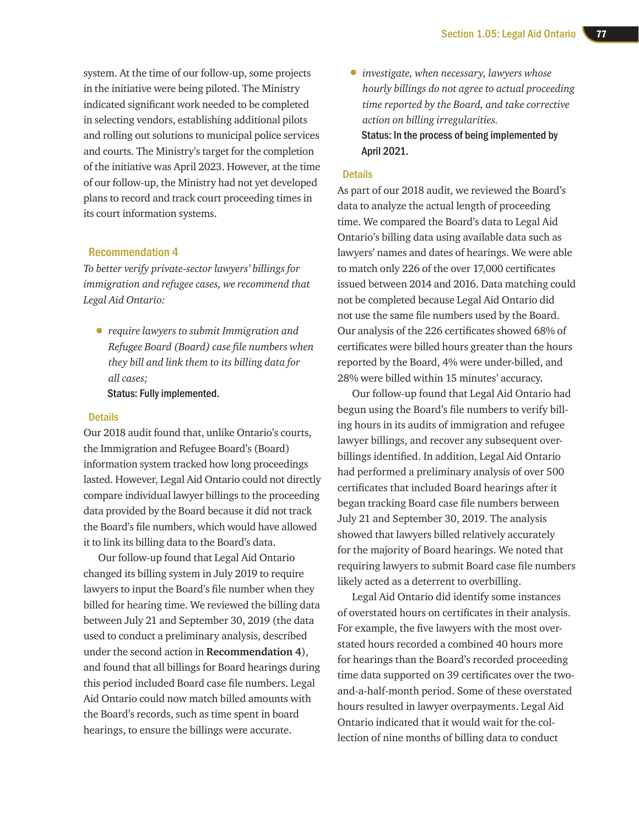system. At the time of our follow-up, some projects in the initiative were being piloted. The Ministry indicated significant work needed to be completed in selecting vendors, establishing additional pilots and rolling out solutions to municipal police services and courts. The Ministry's target for the completion of the initiative was April 2023. However, at the time of our follow-up, the Ministry had not yet developed plans to record and track court proceeding times in its court information systems.

# Recommendation 4

*To better verify private-sector lawyers' billings for immigration and refugee cases, we recommend that Legal Aid Ontario:*

• *require lawyers to submit Immigration and Refugee Board (Board) case file numbers when they bill and link them to its billing data for all cases;*

Status: Fully implemented.

# **Details**

Our 2018 audit found that, unlike Ontario's courts, the Immigration and Refugee Board's (Board) information system tracked how long proceedings lasted. However, Legal Aid Ontario could not directly compare individual lawyer billings to the proceeding data provided by the Board because it did not track the Board's file numbers, which would have allowed it to link its billing data to the Board's data.

Our follow-up found that Legal Aid Ontario changed its billing system in July 2019 to require lawyers to input the Board's file number when they billed for hearing time. We reviewed the billing data between July 21 and September 30, 2019 (the data used to conduct a preliminary analysis, described under the second action in **Recommendation 4**), and found that all billings for Board hearings during this period included Board case file numbers. Legal Aid Ontario could now match billed amounts with the Board's records, such as time spent in board hearings, to ensure the billings were accurate.

• *investigate, when necessary, lawyers whose hourly billings do not agree to actual proceeding time reported by the Board, and take corrective action on billing irregularities.* Status: In the process of being implemented by April 2021.

### **Details**

As part of our 2018 audit, we reviewed the Board's data to analyze the actual length of proceeding time. We compared the Board's data to Legal Aid Ontario's billing data using available data such as lawyers' names and dates of hearings. We were able to match only 226 of the over 17,000 certificates issued between 2014 and 2016. Data matching could not be completed because Legal Aid Ontario did not use the same file numbers used by the Board. Our analysis of the 226 certificates showed 68% of certificates were billed hours greater than the hours reported by the Board, 4% were under-billed, and 28% were billed within 15 minutes' accuracy.

Our follow-up found that Legal Aid Ontario had begun using the Board's file numbers to verify billing hours in its audits of immigration and refugee lawyer billings, and recover any subsequent overbillings identified. In addition, Legal Aid Ontario had performed a preliminary analysis of over 500 certificates that included Board hearings after it began tracking Board case file numbers between July 21 and September 30, 2019. The analysis showed that lawyers billed relatively accurately for the majority of Board hearings. We noted that requiring lawyers to submit Board case file numbers likely acted as a deterrent to overbilling.

Legal Aid Ontario did identify some instances of overstated hours on certificates in their analysis. For example, the five lawyers with the most overstated hours recorded a combined 40 hours more for hearings than the Board's recorded proceeding time data supported on 39 certificates over the twoand-a-half-month period. Some of these overstated hours resulted in lawyer overpayments. Legal Aid Ontario indicated that it would wait for the collection of nine months of billing data to conduct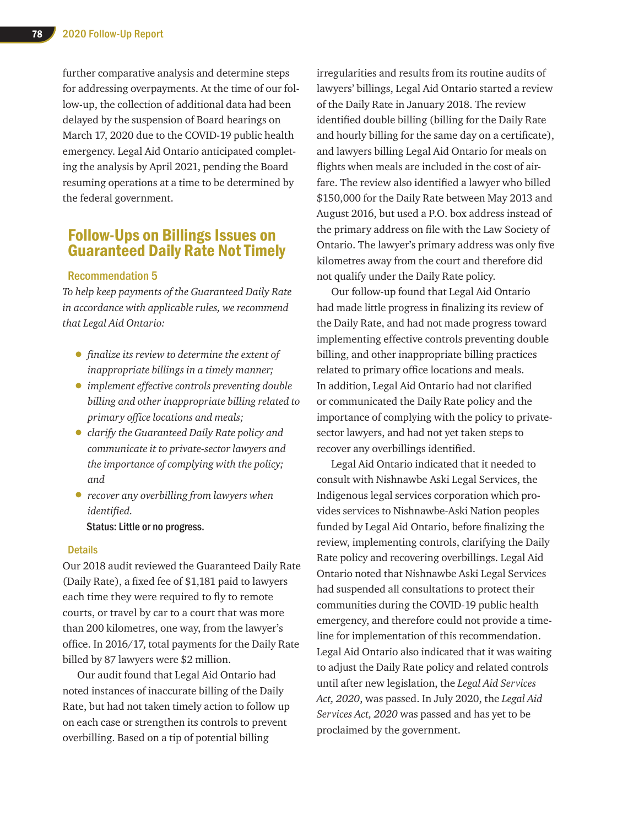further comparative analysis and determine steps for addressing overpayments. At the time of our follow-up, the collection of additional data had been delayed by the suspension of Board hearings on March 17, 2020 due to the COVID-19 public health emergency. Legal Aid Ontario anticipated completing the analysis by April 2021, pending the Board resuming operations at a time to be determined by the federal government.

# Follow-Ups on Billings Issues on Guaranteed Daily Rate Not Timely

# Recommendation 5

*To help keep payments of the Guaranteed Daily Rate in accordance with applicable rules, we recommend that Legal Aid Ontario:*

- *finalize its review to determine the extent of inappropriate billings in a timely manner;*
- *implement effective controls preventing double billing and other inappropriate billing related to primary office locations and meals;*
- *clarify the Guaranteed Daily Rate policy and communicate it to private-sector lawyers and the importance of complying with the policy; and*
- *recover any overbilling from lawyers when identified.*

Status: Little or no progress.

# **Details**

Our 2018 audit reviewed the Guaranteed Daily Rate (Daily Rate), a fixed fee of \$1,181 paid to lawyers each time they were required to fly to remote courts, or travel by car to a court that was more than 200 kilometres, one way, from the lawyer's office. In 2016/17, total payments for the Daily Rate billed by 87 lawyers were \$2 million.

Our audit found that Legal Aid Ontario had noted instances of inaccurate billing of the Daily Rate, but had not taken timely action to follow up on each case or strengthen its controls to prevent overbilling. Based on a tip of potential billing

irregularities and results from its routine audits of lawyers' billings, Legal Aid Ontario started a review of the Daily Rate in January 2018. The review identified double billing (billing for the Daily Rate and hourly billing for the same day on a certificate), and lawyers billing Legal Aid Ontario for meals on flights when meals are included in the cost of airfare. The review also identified a lawyer who billed \$150,000 for the Daily Rate between May 2013 and August 2016, but used a P.O. box address instead of the primary address on file with the Law Society of Ontario. The lawyer's primary address was only five kilometres away from the court and therefore did not qualify under the Daily Rate policy.

Our follow-up found that Legal Aid Ontario had made little progress in finalizing its review of the Daily Rate, and had not made progress toward implementing effective controls preventing double billing, and other inappropriate billing practices related to primary office locations and meals. In addition, Legal Aid Ontario had not clarified or communicated the Daily Rate policy and the importance of complying with the policy to privatesector lawyers, and had not yet taken steps to recover any overbillings identified.

Legal Aid Ontario indicated that it needed to consult with Nishnawbe Aski Legal Services, the Indigenous legal services corporation which provides services to Nishnawbe-Aski Nation peoples funded by Legal Aid Ontario, before finalizing the review, implementing controls, clarifying the Daily Rate policy and recovering overbillings. Legal Aid Ontario noted that Nishnawbe Aski Legal Services had suspended all consultations to protect their communities during the COVID-19 public health emergency, and therefore could not provide a timeline for implementation of this recommendation. Legal Aid Ontario also indicated that it was waiting to adjust the Daily Rate policy and related controls until after new legislation, the *Legal Aid Services Act, 2020*, was passed. In July 2020, the *Legal Aid Services Act, 2020* was passed and has yet to be proclaimed by the government.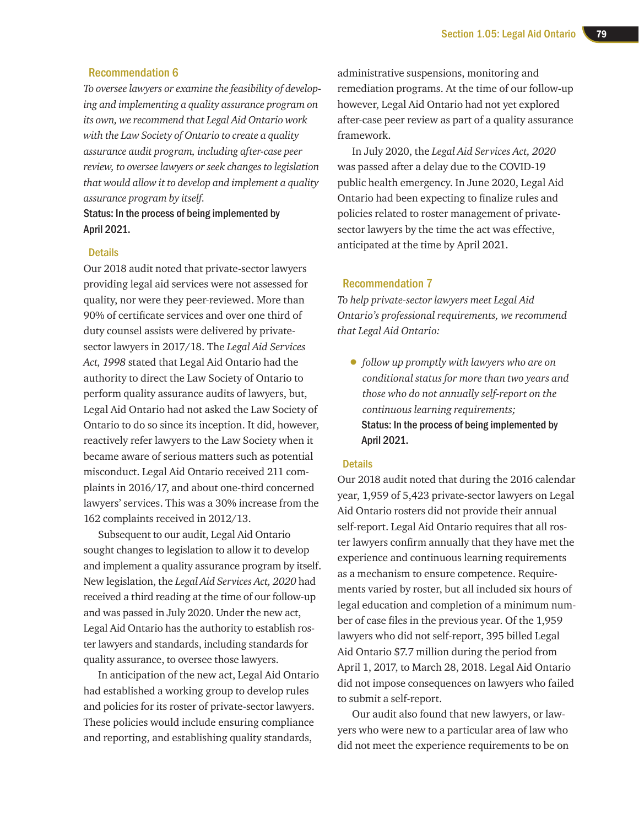# Recommendation 6

*To oversee lawyers or examine the feasibility of developing and implementing a quality assurance program on its own, we recommend that Legal Aid Ontario work with the Law Society of Ontario to create a quality assurance audit program, including after-case peer review, to oversee lawyers or seek changes to legislation that would allow it to develop and implement a quality assurance program by itself.*

Status: In the process of being implemented by April 2021.

# **Details**

Our 2018 audit noted that private-sector lawyers providing legal aid services were not assessed for quality, nor were they peer-reviewed. More than 90% of certificate services and over one third of duty counsel assists were delivered by privatesector lawyers in 2017/18. The *Legal Aid Services Act, 1998* stated that Legal Aid Ontario had the authority to direct the Law Society of Ontario to perform quality assurance audits of lawyers, but, Legal Aid Ontario had not asked the Law Society of Ontario to do so since its inception. It did, however, reactively refer lawyers to the Law Society when it became aware of serious matters such as potential misconduct. Legal Aid Ontario received 211 complaints in 2016/17, and about one-third concerned lawyers' services. This was a 30% increase from the 162 complaints received in 2012/13.

Subsequent to our audit, Legal Aid Ontario sought changes to legislation to allow it to develop and implement a quality assurance program by itself. New legislation, the *Legal Aid Services Act, 2020* had received a third reading at the time of our follow-up and was passed in July 2020. Under the new act, Legal Aid Ontario has the authority to establish roster lawyers and standards, including standards for quality assurance, to oversee those lawyers.

In anticipation of the new act, Legal Aid Ontario had established a working group to develop rules and policies for its roster of private-sector lawyers. These policies would include ensuring compliance and reporting, and establishing quality standards,

administrative suspensions, monitoring and remediation programs. At the time of our follow-up however, Legal Aid Ontario had not yet explored after-case peer review as part of a quality assurance framework.

In July 2020, the *Legal Aid Services Act, 2020* was passed after a delay due to the COVID-19 public health emergency. In June 2020, Legal Aid Ontario had been expecting to finalize rules and policies related to roster management of privatesector lawyers by the time the act was effective, anticipated at the time by April 2021.

# Recommendation 7

*To help private-sector lawyers meet Legal Aid Ontario's professional requirements, we recommend that Legal Aid Ontario:* 

• *follow up promptly with lawyers who are on conditional status for more than two years and those who do not annually self-report on the continuous learning requirements;*  Status: In the process of being implemented by April 2021.

# **Details**

Our 2018 audit noted that during the 2016 calendar year, 1,959 of 5,423 private-sector lawyers on Legal Aid Ontario rosters did not provide their annual self-report. Legal Aid Ontario requires that all roster lawyers confirm annually that they have met the experience and continuous learning requirements as a mechanism to ensure competence. Requirements varied by roster, but all included six hours of legal education and completion of a minimum number of case files in the previous year. Of the 1,959 lawyers who did not self-report, 395 billed Legal Aid Ontario \$7.7 million during the period from April 1, 2017, to March 28, 2018. Legal Aid Ontario did not impose consequences on lawyers who failed to submit a self-report.

Our audit also found that new lawyers, or lawyers who were new to a particular area of law who did not meet the experience requirements to be on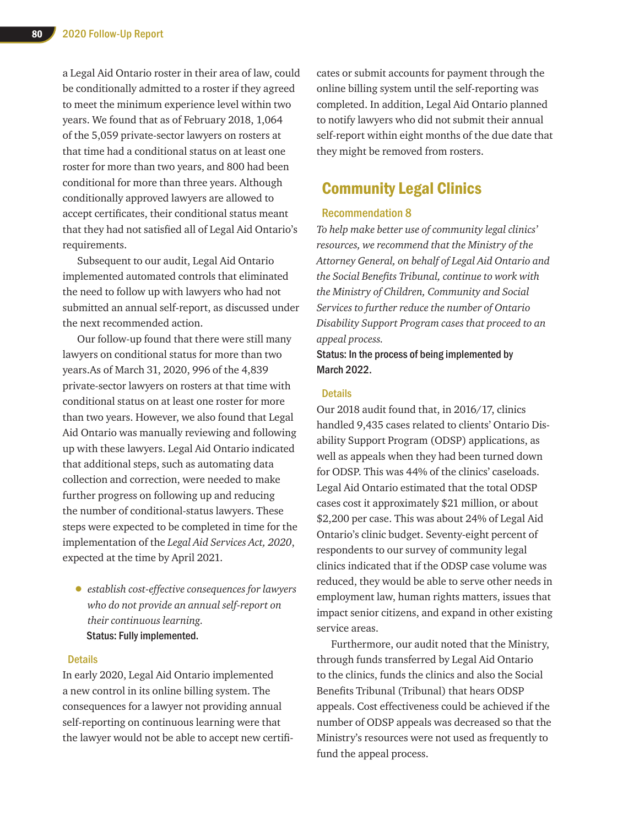a Legal Aid Ontario roster in their area of law, could be conditionally admitted to a roster if they agreed to meet the minimum experience level within two years. We found that as of February 2018, 1,064 of the 5,059 private-sector lawyers on rosters at that time had a conditional status on at least one roster for more than two years, and 800 had been conditional for more than three years. Although conditionally approved lawyers are allowed to accept certificates, their conditional status meant that they had not satisfied all of Legal Aid Ontario's requirements.

Subsequent to our audit, Legal Aid Ontario implemented automated controls that eliminated the need to follow up with lawyers who had not submitted an annual self-report, as discussed under the next recommended action.

Our follow-up found that there were still many lawyers on conditional status for more than two years.As of March 31, 2020, 996 of the 4,839 private-sector lawyers on rosters at that time with conditional status on at least one roster for more than two years. However, we also found that Legal Aid Ontario was manually reviewing and following up with these lawyers. Legal Aid Ontario indicated that additional steps, such as automating data collection and correction, were needed to make further progress on following up and reducing the number of conditional-status lawyers. These steps were expected to be completed in time for the implementation of the *Legal Aid Services Act, 2020*, expected at the time by April 2021.

• *establish cost-effective consequences for lawyers who do not provide an annual self-report on their continuous learning.* Status: Fully implemented.

# **Details**

In early 2020, Legal Aid Ontario implemented a new control in its online billing system. The consequences for a lawyer not providing annual self-reporting on continuous learning were that the lawyer would not be able to accept new certificates or submit accounts for payment through the online billing system until the self-reporting was completed. In addition, Legal Aid Ontario planned to notify lawyers who did not submit their annual self-report within eight months of the due date that they might be removed from rosters.

# Community Legal Clinics

# Recommendation 8

*To help make better use of community legal clinics' resources, we recommend that the Ministry of the Attorney General, on behalf of Legal Aid Ontario and the Social Benefits Tribunal, continue to work with the Ministry of Children, Community and Social Services to further reduce the number of Ontario Disability Support Program cases that proceed to an appeal process.*

Status: In the process of being implemented by March 2022.

### **Details**

Our 2018 audit found that, in 2016/17, clinics handled 9,435 cases related to clients' Ontario Disability Support Program (ODSP) applications, as well as appeals when they had been turned down for ODSP. This was 44% of the clinics' caseloads. Legal Aid Ontario estimated that the total ODSP cases cost it approximately \$21 million, or about \$2,200 per case. This was about 24% of Legal Aid Ontario's clinic budget. Seventy-eight percent of respondents to our survey of community legal clinics indicated that if the ODSP case volume was reduced, they would be able to serve other needs in employment law, human rights matters, issues that impact senior citizens, and expand in other existing service areas.

Furthermore, our audit noted that the Ministry, through funds transferred by Legal Aid Ontario to the clinics, funds the clinics and also the Social Benefits Tribunal (Tribunal) that hears ODSP appeals. Cost effectiveness could be achieved if the number of ODSP appeals was decreased so that the Ministry's resources were not used as frequently to fund the appeal process.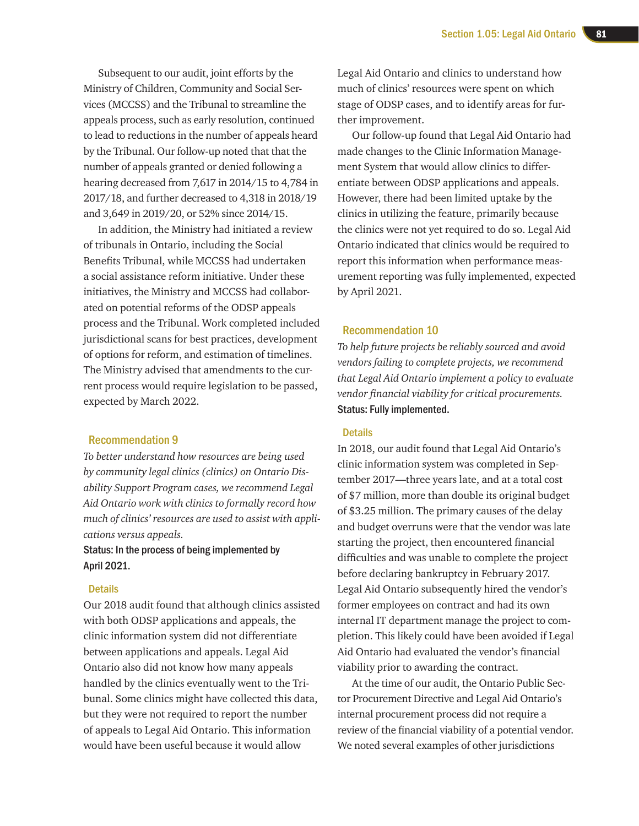Subsequent to our audit, joint efforts by the Ministry of Children, Community and Social Services (MCCSS) and the Tribunal to streamline the appeals process, such as early resolution, continued to lead to reductions in the number of appeals heard by the Tribunal. Our follow-up noted that that the number of appeals granted or denied following a hearing decreased from 7,617 in 2014/15 to 4,784 in 2017/18, and further decreased to 4,318 in 2018/19 and 3,649 in 2019/20, or 52% since 2014/15.

In addition, the Ministry had initiated a review of tribunals in Ontario, including the Social Benefits Tribunal, while MCCSS had undertaken a social assistance reform initiative. Under these initiatives, the Ministry and MCCSS had collaborated on potential reforms of the ODSP appeals process and the Tribunal. Work completed included jurisdictional scans for best practices, development of options for reform, and estimation of timelines. The Ministry advised that amendments to the current process would require legislation to be passed, expected by March 2022.

# Recommendation 9

*To better understand how resources are being used by community legal clinics (clinics) on Ontario Disability Support Program cases, we recommend Legal Aid Ontario work with clinics to formally record how much of clinics' resources are used to assist with applications versus appeals.*

# Status: In the process of being implemented by April 2021.

### **Details**

Our 2018 audit found that although clinics assisted with both ODSP applications and appeals, the clinic information system did not differentiate between applications and appeals. Legal Aid Ontario also did not know how many appeals handled by the clinics eventually went to the Tribunal. Some clinics might have collected this data, but they were not required to report the number of appeals to Legal Aid Ontario. This information would have been useful because it would allow

Legal Aid Ontario and clinics to understand how much of clinics' resources were spent on which stage of ODSP cases, and to identify areas for further improvement.

Our follow-up found that Legal Aid Ontario had made changes to the Clinic Information Management System that would allow clinics to differentiate between ODSP applications and appeals. However, there had been limited uptake by the clinics in utilizing the feature, primarily because the clinics were not yet required to do so. Legal Aid Ontario indicated that clinics would be required to report this information when performance measurement reporting was fully implemented, expected by April 2021.

### Recommendation 10

*To help future projects be reliably sourced and avoid vendors failing to complete projects, we recommend that Legal Aid Ontario implement a policy to evaluate vendor financial viability for critical procurements.* Status: Fully implemented.

# **Details**

In 2018, our audit found that Legal Aid Ontario's clinic information system was completed in September 2017—three years late, and at a total cost of \$7 million, more than double its original budget of \$3.25 million. The primary causes of the delay and budget overruns were that the vendor was late starting the project, then encountered financial difficulties and was unable to complete the project before declaring bankruptcy in February 2017. Legal Aid Ontario subsequently hired the vendor's former employees on contract and had its own internal IT department manage the project to completion. This likely could have been avoided if Legal Aid Ontario had evaluated the vendor's financial viability prior to awarding the contract.

At the time of our audit, the Ontario Public Sector Procurement Directive and Legal Aid Ontario's internal procurement process did not require a review of the financial viability of a potential vendor. We noted several examples of other jurisdictions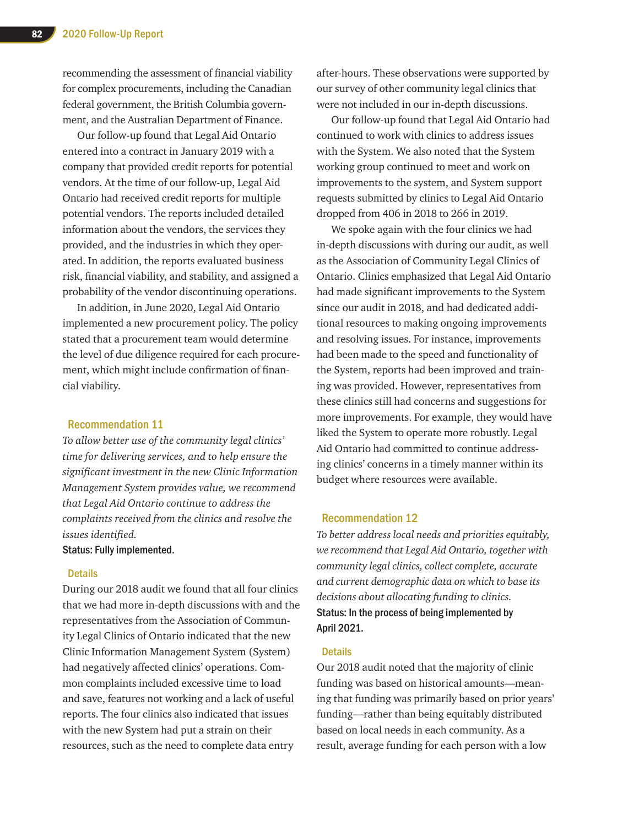recommending the assessment of financial viability for complex procurements, including the Canadian federal government, the British Columbia government, and the Australian Department of Finance.

Our follow-up found that Legal Aid Ontario entered into a contract in January 2019 with a company that provided credit reports for potential vendors. At the time of our follow-up, Legal Aid Ontario had received credit reports for multiple potential vendors. The reports included detailed information about the vendors, the services they provided, and the industries in which they operated. In addition, the reports evaluated business risk, financial viability, and stability, and assigned a probability of the vendor discontinuing operations.

In addition, in June 2020, Legal Aid Ontario implemented a new procurement policy. The policy stated that a procurement team would determine the level of due diligence required for each procurement, which might include confirmation of financial viability.

# Recommendation 11

*To allow better use of the community legal clinics' time for delivering services, and to help ensure the significant investment in the new Clinic Information Management System provides value, we recommend that Legal Aid Ontario continue to address the complaints received from the clinics and resolve the issues identified.*

# Status: Fully implemented.

# **Details**

During our 2018 audit we found that all four clinics that we had more in-depth discussions with and the representatives from the Association of Community Legal Clinics of Ontario indicated that the new Clinic Information Management System (System) had negatively affected clinics' operations. Common complaints included excessive time to load and save, features not working and a lack of useful reports. The four clinics also indicated that issues with the new System had put a strain on their resources, such as the need to complete data entry

after-hours. These observations were supported by our survey of other community legal clinics that were not included in our in-depth discussions.

Our follow-up found that Legal Aid Ontario had continued to work with clinics to address issues with the System. We also noted that the System working group continued to meet and work on improvements to the system, and System support requests submitted by clinics to Legal Aid Ontario dropped from 406 in 2018 to 266 in 2019.

We spoke again with the four clinics we had in-depth discussions with during our audit, as well as the Association of Community Legal Clinics of Ontario. Clinics emphasized that Legal Aid Ontario had made significant improvements to the System since our audit in 2018, and had dedicated additional resources to making ongoing improvements and resolving issues. For instance, improvements had been made to the speed and functionality of the System, reports had been improved and training was provided. However, representatives from these clinics still had concerns and suggestions for more improvements. For example, they would have liked the System to operate more robustly. Legal Aid Ontario had committed to continue addressing clinics' concerns in a timely manner within its budget where resources were available.

# Recommendation 12

*To better address local needs and priorities equitably, we recommend that Legal Aid Ontario, together with community legal clinics, collect complete, accurate and current demographic data on which to base its decisions about allocating funding to clinics.* Status: In the process of being implemented by April 2021.

# **Details**

Our 2018 audit noted that the majority of clinic funding was based on historical amounts—meaning that funding was primarily based on prior years' funding—rather than being equitably distributed based on local needs in each community. As a result, average funding for each person with a low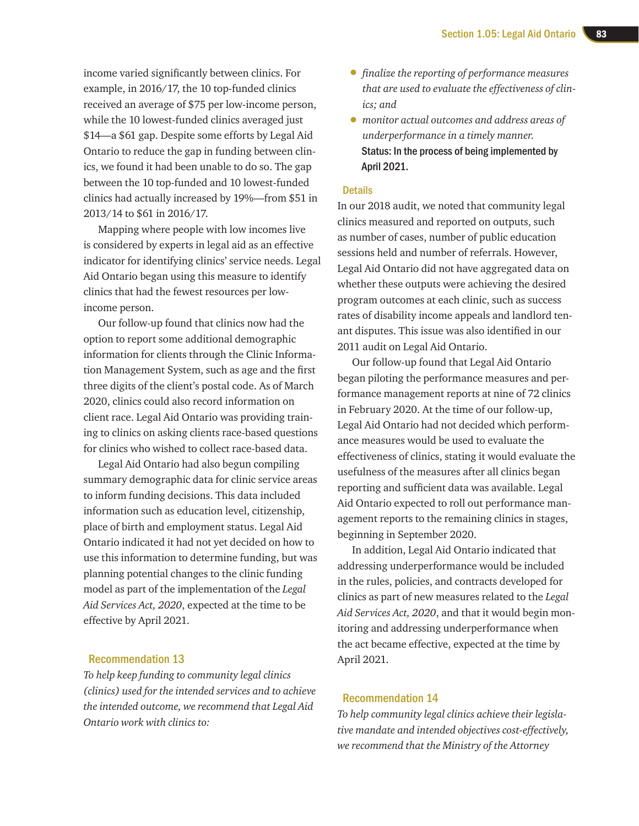income varied significantly between clinics. For example, in 2016/17, the 10 top-funded clinics received an average of \$75 per low-income person, while the 10 lowest-funded clinics averaged just \$14—a \$61 gap. Despite some efforts by Legal Aid Ontario to reduce the gap in funding between clinics, we found it had been unable to do so. The gap between the 10 top-funded and 10 lowest-funded clinics had actually increased by 19%—from \$51 in 2013/14 to \$61 in 2016/17.

Mapping where people with low incomes live is considered by experts in legal aid as an effective indicator for identifying clinics' service needs. Legal Aid Ontario began using this measure to identify clinics that had the fewest resources per lowincome person.

Our follow-up found that clinics now had the option to report some additional demographic information for clients through the Clinic Information Management System, such as age and the first three digits of the client's postal code. As of March 2020, clinics could also record information on client race. Legal Aid Ontario was providing training to clinics on asking clients race-based questions for clinics who wished to collect race-based data.

Legal Aid Ontario had also begun compiling summary demographic data for clinic service areas to inform funding decisions. This data included information such as education level, citizenship, place of birth and employment status. Legal Aid Ontario indicated it had not yet decided on how to use this information to determine funding, but was planning potential changes to the clinic funding model as part of the implementation of the *Legal Aid Services Act, 2020*, expected at the time to be effective by April 2021.

# Recommendation 13

*To help keep funding to community legal clinics (clinics) used for the intended services and to achieve the intended outcome, we recommend that Legal Aid Ontario work with clinics to:* 

- *finalize the reporting of performance measures that are used to evaluate the effectiveness of clinics; and*
- *monitor actual outcomes and address areas of underperformance in a timely manner.* Status: In the process of being implemented by April 2021.

### **Details**

In our 2018 audit, we noted that community legal clinics measured and reported on outputs, such as number of cases, number of public education sessions held and number of referrals. However, Legal Aid Ontario did not have aggregated data on whether these outputs were achieving the desired program outcomes at each clinic, such as success rates of disability income appeals and landlord tenant disputes. This issue was also identified in our 2011 audit on Legal Aid Ontario.

Our follow-up found that Legal Aid Ontario began piloting the performance measures and performance management reports at nine of 72 clinics in February 2020. At the time of our follow-up, Legal Aid Ontario had not decided which performance measures would be used to evaluate the effectiveness of clinics, stating it would evaluate the usefulness of the measures after all clinics began reporting and sufficient data was available. Legal Aid Ontario expected to roll out performance management reports to the remaining clinics in stages, beginning in September 2020.

In addition, Legal Aid Ontario indicated that addressing underperformance would be included in the rules, policies, and contracts developed for clinics as part of new measures related to the *Legal Aid Services Act, 2020*, and that it would begin monitoring and addressing underperformance when the act became effective, expected at the time by April 2021.

# Recommendation 14

*To help community legal clinics achieve their legislative mandate and intended objectives cost-effectively, we recommend that the Ministry of the Attorney*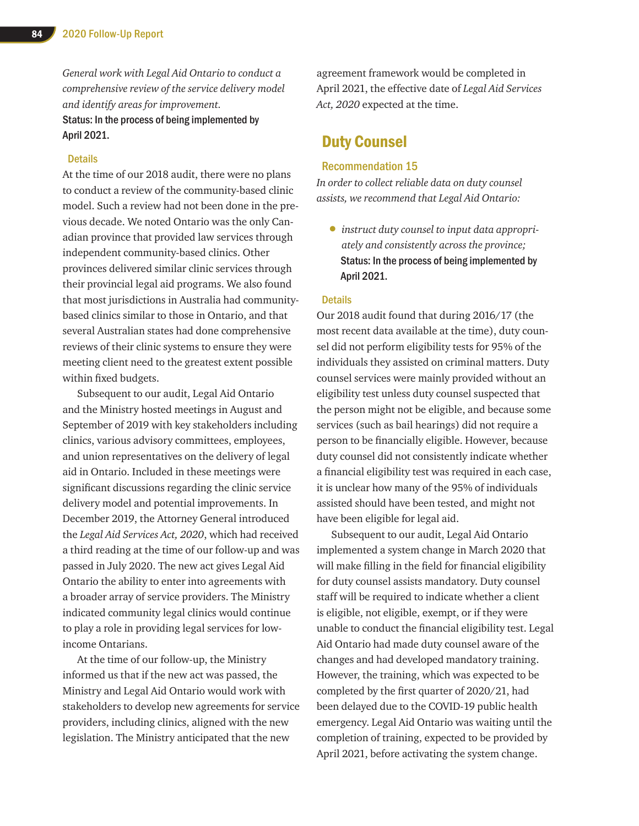*General work with Legal Aid Ontario to conduct a comprehensive review of the service delivery model and identify areas for improvement.*

# Status: In the process of being implemented by April 2021.

# **Details**

At the time of our 2018 audit, there were no plans to conduct a review of the community-based clinic model. Such a review had not been done in the previous decade. We noted Ontario was the only Canadian province that provided law services through independent community-based clinics. Other provinces delivered similar clinic services through their provincial legal aid programs. We also found that most jurisdictions in Australia had communitybased clinics similar to those in Ontario, and that several Australian states had done comprehensive reviews of their clinic systems to ensure they were meeting client need to the greatest extent possible within fixed budgets.

Subsequent to our audit, Legal Aid Ontario and the Ministry hosted meetings in August and September of 2019 with key stakeholders including clinics, various advisory committees, employees, and union representatives on the delivery of legal aid in Ontario. Included in these meetings were significant discussions regarding the clinic service delivery model and potential improvements. In December 2019, the Attorney General introduced the *Legal Aid Services Act, 2020*, which had received a third reading at the time of our follow-up and was passed in July 2020. The new act gives Legal Aid Ontario the ability to enter into agreements with a broader array of service providers. The Ministry indicated community legal clinics would continue to play a role in providing legal services for lowincome Ontarians.

At the time of our follow-up, the Ministry informed us that if the new act was passed, the Ministry and Legal Aid Ontario would work with stakeholders to develop new agreements for service providers, including clinics, aligned with the new legislation. The Ministry anticipated that the new

agreement framework would be completed in April 2021, the effective date of *Legal Aid Services Act, 2020* expected at the time.

# Duty Counsel

# Recommendation 15

*In order to collect reliable data on duty counsel assists, we recommend that Legal Aid Ontario:* 

• *instruct duty counsel to input data appropriately and consistently across the province;*  Status: In the process of being implemented by April 2021.

### **Details**

Our 2018 audit found that during 2016/17 (the most recent data available at the time), duty counsel did not perform eligibility tests for 95% of the individuals they assisted on criminal matters. Duty counsel services were mainly provided without an eligibility test unless duty counsel suspected that the person might not be eligible, and because some services (such as bail hearings) did not require a person to be financially eligible. However, because duty counsel did not consistently indicate whether a financial eligibility test was required in each case, it is unclear how many of the 95% of individuals assisted should have been tested, and might not have been eligible for legal aid.

Subsequent to our audit, Legal Aid Ontario implemented a system change in March 2020 that will make filling in the field for financial eligibility for duty counsel assists mandatory. Duty counsel staff will be required to indicate whether a client is eligible, not eligible, exempt, or if they were unable to conduct the financial eligibility test. Legal Aid Ontario had made duty counsel aware of the changes and had developed mandatory training. However, the training, which was expected to be completed by the first quarter of 2020/21, had been delayed due to the COVID-19 public health emergency. Legal Aid Ontario was waiting until the completion of training, expected to be provided by April 2021, before activating the system change.